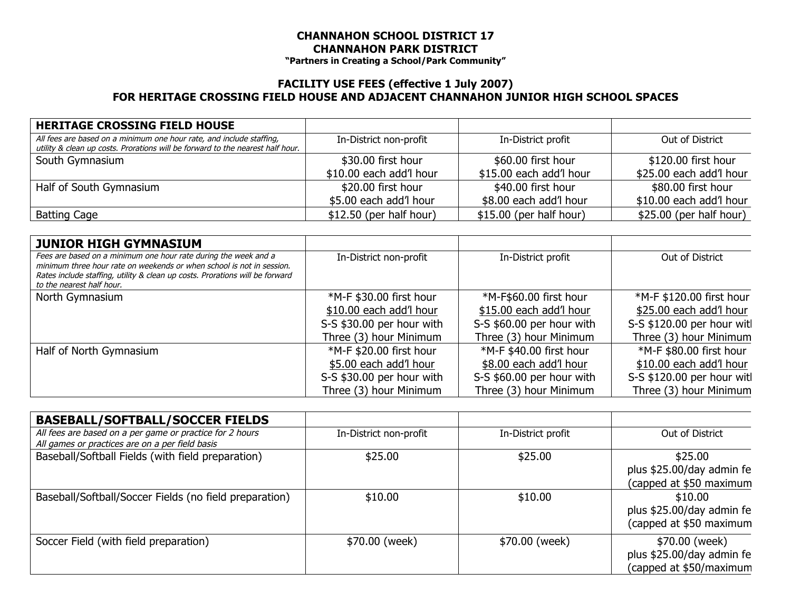## **CHANNAHON SCHOOL DISTRICT 17 CHANNAHON PARK DISTRICT**

**"Partners in Creating a School/Park Community"**

## **FACILITY USE FEES (effective 1 July 2007) FOR HERITAGE CROSSING FIELD HOUSE AND ADJACENT CHANNAHON JUNIOR HIGH SCHOOL SPACES**

| <b>HERITAGE CROSSING FIELD HOUSE</b>                                                                                                                   |                          |                          |                          |
|--------------------------------------------------------------------------------------------------------------------------------------------------------|--------------------------|--------------------------|--------------------------|
| All fees are based on a minimum one hour rate, and include staffing,<br>utility & clean up costs. Prorations will be forward to the nearest half hour. | In-District non-profit   | In-District profit       | Out of District          |
| South Gymnasium                                                                                                                                        | \$30.00 first hour       | \$60.00 first hour       | \$120.00 first hour      |
|                                                                                                                                                        | \$10.00 each add'l hour  | \$15.00 each add'l hour  | \$25.00 each add'l hour  |
| Half of South Gymnasium                                                                                                                                | \$20.00 first hour       | \$40.00 first hour       | \$80.00 first hour       |
|                                                                                                                                                        | \$5.00 each add'l hour   | \$8.00 each add'l hour   | \$10.00 each add'l hour  |
| Batting Cage                                                                                                                                           | $$12.50$ (per half hour) | $$15.00$ (per half hour) | $$25.00$ (per half hour) |

| <b>JUNIOR HIGH GYMNASIUM</b>                                                                                                                                                                                                                          |                           |                           |                            |
|-------------------------------------------------------------------------------------------------------------------------------------------------------------------------------------------------------------------------------------------------------|---------------------------|---------------------------|----------------------------|
| Fees are based on a minimum one hour rate during the week and a<br>minimum three hour rate on weekends or when school is not in session.<br>Rates include staffing, utility & clean up costs. Prorations will be forward<br>to the nearest half hour. | In-District non-profit    | In-District profit        | Out of District            |
| North Gymnasium                                                                                                                                                                                                                                       | *M-F \$30.00 first hour   | *M-F\$60.00 first hour    | *M-F \$120.00 first hour   |
|                                                                                                                                                                                                                                                       | \$10.00 each add'l hour   | \$15.00 each add'l hour   | \$25.00 each add'l hour    |
|                                                                                                                                                                                                                                                       | S-S \$30.00 per hour with | S-S \$60.00 per hour with | S-S \$120.00 per hour witl |
|                                                                                                                                                                                                                                                       | Three (3) hour Minimum    | Three (3) hour Minimum    | Three (3) hour Minimum     |
| Half of North Gymnasium                                                                                                                                                                                                                               | *M-F \$20.00 first hour   | *M-F \$40.00 first hour   | *M-F \$80.00 first hour    |
|                                                                                                                                                                                                                                                       | \$5.00 each add'l hour    | \$8.00 each add'l hour    | \$10.00 each add'l hour    |
|                                                                                                                                                                                                                                                       | S-S \$30.00 per hour with | S-S \$60.00 per hour with | S-S \$120.00 per hour witl |
|                                                                                                                                                                                                                                                       | Three (3) hour Minimum    | Three (3) hour Minimum    | Three (3) hour Minimum     |

| <b>BASEBALL/SOFTBALL/SOCCER FIELDS</b>                                                                      |                        |                    |                                                                        |
|-------------------------------------------------------------------------------------------------------------|------------------------|--------------------|------------------------------------------------------------------------|
| All fees are based on a per game or practice for 2 hours<br>All games or practices are on a per field basis | In-District non-profit | In-District profit | Out of District                                                        |
| Baseball/Softball Fields (with field preparation)                                                           | \$25.00                | \$25.00            | \$25.00<br>plus \$25.00/day admin fe<br>(capped at \$50 maximum        |
| Baseball/Softball/Soccer Fields (no field preparation)                                                      | \$10.00                | \$10.00            | \$10.00<br>plus \$25.00/day admin fe<br>(capped at \$50 maximum        |
| Soccer Field (with field preparation)                                                                       | \$70.00 (week)         | \$70.00 (week)     | \$70.00 (week)<br>plus \$25.00/day admin fe<br>(capped at \$50/maximum |